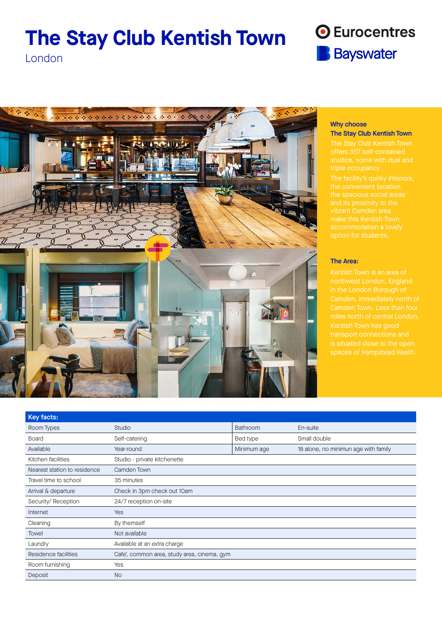# **The Stay Club Kentish Town**



London



## Why choose The Stay Club Kentish Town

The Stay Club Kentish Town

## The Area:

Kentish Town is an area of is situated close to the open

| Studio                                      | Bathroom    | En-suite                             |
|---------------------------------------------|-------------|--------------------------------------|
| Self-catering                               | Bed type    | Small double                         |
| Year-round                                  | Minimum age | 18 alone, no minimun age with family |
| Studio - private kitchenette                |             |                                      |
| Camden Town                                 |             |                                      |
| 35 minutes                                  |             |                                      |
| Check in 3pm check out 10am                 |             |                                      |
| 24/7 reception on-site                      |             |                                      |
| Yes                                         |             |                                      |
| By themself                                 |             |                                      |
| Not available                               |             |                                      |
| Available at an extra charge                |             |                                      |
| Cafe', common area, study area, cinema, gym |             |                                      |
| Yes                                         |             |                                      |
| <b>No</b>                                   |             |                                      |
|                                             |             |                                      |